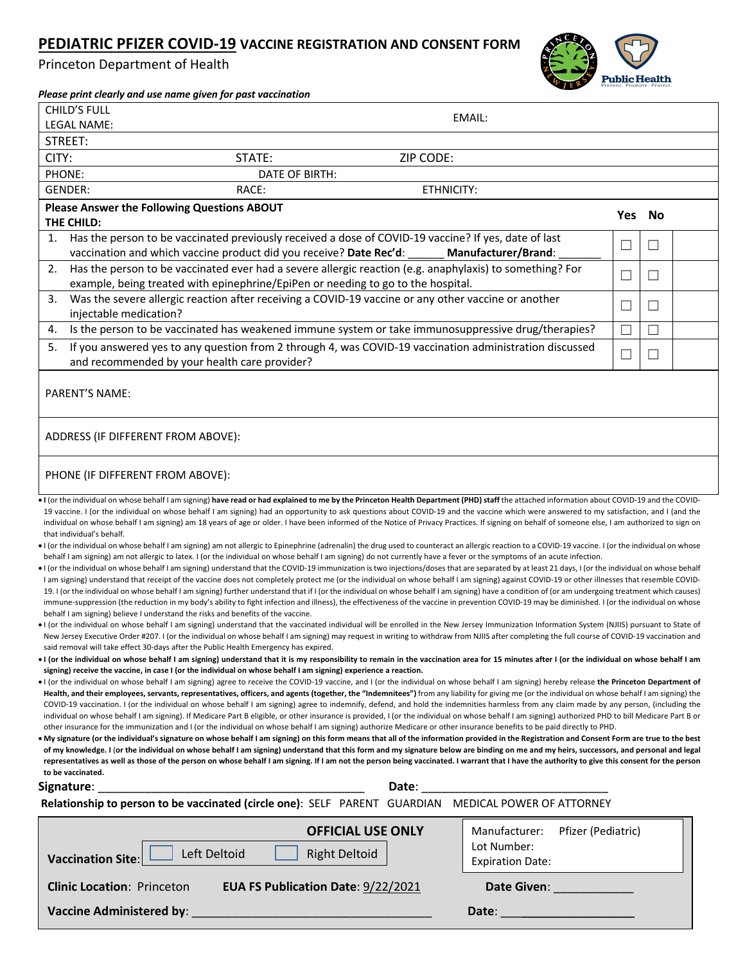## **PEDIATRIC PFIZER COVID-19 VACCINE REGISTRATION AND CONSENT FORM**

Princeton Department of Health



| Princeton Department of Health                                                                                                                                                                                                                                                                                                                                                                                                                                                                                                                                                                                                                                                                                                                                                                                                                                                                                                                                                                                                                                                                                                                                                                                                                                                                                                                                                                                                                                                                                                                                                                                                                                                                                                                                                                                                                                                                                                                                                                                                                                                                                                                                                                                                                                                                               | <b>Public Health</b> |        |  |
|--------------------------------------------------------------------------------------------------------------------------------------------------------------------------------------------------------------------------------------------------------------------------------------------------------------------------------------------------------------------------------------------------------------------------------------------------------------------------------------------------------------------------------------------------------------------------------------------------------------------------------------------------------------------------------------------------------------------------------------------------------------------------------------------------------------------------------------------------------------------------------------------------------------------------------------------------------------------------------------------------------------------------------------------------------------------------------------------------------------------------------------------------------------------------------------------------------------------------------------------------------------------------------------------------------------------------------------------------------------------------------------------------------------------------------------------------------------------------------------------------------------------------------------------------------------------------------------------------------------------------------------------------------------------------------------------------------------------------------------------------------------------------------------------------------------------------------------------------------------------------------------------------------------------------------------------------------------------------------------------------------------------------------------------------------------------------------------------------------------------------------------------------------------------------------------------------------------------------------------------------------------------------------------------------------------|----------------------|--------|--|
| Please print clearly and use name given for past vaccination<br><b>CHILD'S FULL</b>                                                                                                                                                                                                                                                                                                                                                                                                                                                                                                                                                                                                                                                                                                                                                                                                                                                                                                                                                                                                                                                                                                                                                                                                                                                                                                                                                                                                                                                                                                                                                                                                                                                                                                                                                                                                                                                                                                                                                                                                                                                                                                                                                                                                                          |                      |        |  |
| EMAIL:<br>LEGAL NAME:                                                                                                                                                                                                                                                                                                                                                                                                                                                                                                                                                                                                                                                                                                                                                                                                                                                                                                                                                                                                                                                                                                                                                                                                                                                                                                                                                                                                                                                                                                                                                                                                                                                                                                                                                                                                                                                                                                                                                                                                                                                                                                                                                                                                                                                                                        |                      |        |  |
| STREET:                                                                                                                                                                                                                                                                                                                                                                                                                                                                                                                                                                                                                                                                                                                                                                                                                                                                                                                                                                                                                                                                                                                                                                                                                                                                                                                                                                                                                                                                                                                                                                                                                                                                                                                                                                                                                                                                                                                                                                                                                                                                                                                                                                                                                                                                                                      |                      |        |  |
| CITY:<br>STATE:<br>ZIP CODE:                                                                                                                                                                                                                                                                                                                                                                                                                                                                                                                                                                                                                                                                                                                                                                                                                                                                                                                                                                                                                                                                                                                                                                                                                                                                                                                                                                                                                                                                                                                                                                                                                                                                                                                                                                                                                                                                                                                                                                                                                                                                                                                                                                                                                                                                                 |                      |        |  |
| PHONE:<br>DATE OF BIRTH:                                                                                                                                                                                                                                                                                                                                                                                                                                                                                                                                                                                                                                                                                                                                                                                                                                                                                                                                                                                                                                                                                                                                                                                                                                                                                                                                                                                                                                                                                                                                                                                                                                                                                                                                                                                                                                                                                                                                                                                                                                                                                                                                                                                                                                                                                     |                      |        |  |
| GENDER:<br>RACE:<br>ETHNICITY:                                                                                                                                                                                                                                                                                                                                                                                                                                                                                                                                                                                                                                                                                                                                                                                                                                                                                                                                                                                                                                                                                                                                                                                                                                                                                                                                                                                                                                                                                                                                                                                                                                                                                                                                                                                                                                                                                                                                                                                                                                                                                                                                                                                                                                                                               |                      |        |  |
| Please Answer the Following Questions ABOUT                                                                                                                                                                                                                                                                                                                                                                                                                                                                                                                                                                                                                                                                                                                                                                                                                                                                                                                                                                                                                                                                                                                                                                                                                                                                                                                                                                                                                                                                                                                                                                                                                                                                                                                                                                                                                                                                                                                                                                                                                                                                                                                                                                                                                                                                  |                      |        |  |
| THE CHILD:                                                                                                                                                                                                                                                                                                                                                                                                                                                                                                                                                                                                                                                                                                                                                                                                                                                                                                                                                                                                                                                                                                                                                                                                                                                                                                                                                                                                                                                                                                                                                                                                                                                                                                                                                                                                                                                                                                                                                                                                                                                                                                                                                                                                                                                                                                   | <b>Yes</b>           | No     |  |
| Has the person to be vaccinated previously received a dose of COVID-19 vaccine? If yes, date of last<br>1.                                                                                                                                                                                                                                                                                                                                                                                                                                                                                                                                                                                                                                                                                                                                                                                                                                                                                                                                                                                                                                                                                                                                                                                                                                                                                                                                                                                                                                                                                                                                                                                                                                                                                                                                                                                                                                                                                                                                                                                                                                                                                                                                                                                                   |                      |        |  |
| vaccination and which vaccine product did you receive? Date Rec'd:<br><b>Manufacturer/Brand:</b>                                                                                                                                                                                                                                                                                                                                                                                                                                                                                                                                                                                                                                                                                                                                                                                                                                                                                                                                                                                                                                                                                                                                                                                                                                                                                                                                                                                                                                                                                                                                                                                                                                                                                                                                                                                                                                                                                                                                                                                                                                                                                                                                                                                                             | $\Box$               | П      |  |
| Has the person to be vaccinated ever had a severe allergic reaction (e.g. anaphylaxis) to something? For<br>2.<br>example, being treated with epinephrine/EpiPen or needing to go to the hospital.                                                                                                                                                                                                                                                                                                                                                                                                                                                                                                                                                                                                                                                                                                                                                                                                                                                                                                                                                                                                                                                                                                                                                                                                                                                                                                                                                                                                                                                                                                                                                                                                                                                                                                                                                                                                                                                                                                                                                                                                                                                                                                           | П                    | П      |  |
| 3.<br>Was the severe allergic reaction after receiving a COVID-19 vaccine or any other vaccine or another<br>injectable medication?                                                                                                                                                                                                                                                                                                                                                                                                                                                                                                                                                                                                                                                                                                                                                                                                                                                                                                                                                                                                                                                                                                                                                                                                                                                                                                                                                                                                                                                                                                                                                                                                                                                                                                                                                                                                                                                                                                                                                                                                                                                                                                                                                                          | $\Box$               | $\Box$ |  |
| Is the person to be vaccinated has weakened immune system or take immunosuppressive drug/therapies?<br>4.                                                                                                                                                                                                                                                                                                                                                                                                                                                                                                                                                                                                                                                                                                                                                                                                                                                                                                                                                                                                                                                                                                                                                                                                                                                                                                                                                                                                                                                                                                                                                                                                                                                                                                                                                                                                                                                                                                                                                                                                                                                                                                                                                                                                    |                      | $\Box$ |  |
| If you answered yes to any question from 2 through 4, was COVID-19 vaccination administration discussed<br>5.<br>and recommended by your health care provider?                                                                                                                                                                                                                                                                                                                                                                                                                                                                                                                                                                                                                                                                                                                                                                                                                                                                                                                                                                                                                                                                                                                                                                                                                                                                                                                                                                                                                                                                                                                                                                                                                                                                                                                                                                                                                                                                                                                                                                                                                                                                                                                                               | П                    | $\Box$ |  |
| PARENT'S NAME:<br>ADDRESS (IF DIFFERENT FROM ABOVE):                                                                                                                                                                                                                                                                                                                                                                                                                                                                                                                                                                                                                                                                                                                                                                                                                                                                                                                                                                                                                                                                                                                                                                                                                                                                                                                                                                                                                                                                                                                                                                                                                                                                                                                                                                                                                                                                                                                                                                                                                                                                                                                                                                                                                                                         |                      |        |  |
| PHONE (IF DIFFERENT FROM ABOVE):                                                                                                                                                                                                                                                                                                                                                                                                                                                                                                                                                                                                                                                                                                                                                                                                                                                                                                                                                                                                                                                                                                                                                                                                                                                                                                                                                                                                                                                                                                                                                                                                                                                                                                                                                                                                                                                                                                                                                                                                                                                                                                                                                                                                                                                                             |                      |        |  |
| • I (or the individual on whose behalf I am signing) have read or had explained to me by the Princeton Health Department (PHD) staff the attached information about COVID-19 and the COVID-<br>19 vaccine. I (or the individual on whose behalf I am signing) had an opportunity to ask questions about COVID-19 and the vaccine which were answered to my satisfaction, and I (and the<br>individual on whose behalf I am signing) am 18 years of age or older. I have been informed of the Notice of Privacy Practices. If signing on behalf of someone else, I am authorized to sign on<br>that individual's behalf.<br>If the individual on whose behalf I am signing) am not allergic to Epinephrine (adrenalin) the drug used to counteract an allergic reaction to a COVID-19 vaccine. I (or the individual on whose<br>behalf I am signing) am not allergic to latex. I (or the individual on whose behalf I am signing) do not currently have a fever or the symptoms of an acute infection.<br>If (or the individual on whose behalf I am signing) understand that the COVID-19 immunization is two injections/doses that are separated by at least 21 days, I (or the individual on whose behalf<br>I am signing) understand that receipt of the vaccine does not completely protect me (or the individual on whose behalf I am signing) against COVID-19 or other illnesses that resemble COVID-<br>19. I (or the individual on whose behalf I am signing) further understand that if I (or the individual on whose behalf I am signing) have a condition of (or am undergoing treatment which causes)<br>immune-suppression (the reduction in my body's ability to fight infection and illness), the effectiveness of the vaccine in prevention COVID-19 may be diminished. I (or the individual on whose<br>behalf I am signing) believe I understand the risks and benefits of the vaccine.<br>I (or the individual on whose behalf I am signing) understand that the vaccinated individual will be enrolled in the New Jersey Immunization Information System (NJIIS) pursuant to State of<br>New Jersey Executive Order #207. I (or the individual on whose behalf I am signing) may request in writing to withdraw from NJIIS after completing the full course of COVID-19 vaccination and |                      |        |  |
| said removal will take effect 30-days after the Public Health Emergency has expired.<br>• I (or the individual on whose behalf I am signing) understand that it is my responsibility to remain in the vaccination area for 15 minutes after I (or the individual on whose behalf I am<br>signing) receive the vaccine, in case I (or the individual on whose behalf I am signing) experience a reaction.                                                                                                                                                                                                                                                                                                                                                                                                                                                                                                                                                                                                                                                                                                                                                                                                                                                                                                                                                                                                                                                                                                                                                                                                                                                                                                                                                                                                                                                                                                                                                                                                                                                                                                                                                                                                                                                                                                     |                      |        |  |
|                                                                                                                                                                                                                                                                                                                                                                                                                                                                                                                                                                                                                                                                                                                                                                                                                                                                                                                                                                                                                                                                                                                                                                                                                                                                                                                                                                                                                                                                                                                                                                                                                                                                                                                                                                                                                                                                                                                                                                                                                                                                                                                                                                                                                                                                                                              |                      |        |  |

- I (or the individual on whose behalf I am signing) agree to receive the COVID-19 vaccine, and I (or the individual on whose behalf I am signing) hereby release **the Princeton Department of Health, and their employees, servants, representatives, officers, and agents (together, the "Indemnitees")** from any liability for giving me (or the individual on whose behalf I am signing) the COVID-19 vaccination. I (or the individual on whose behalf I am signing) agree to indemnify, defend, and hold the indemnities harmless from any claim made by any person, (including the individual on whose behalf I am signing). If Medicare Part B eligible, or other insurance is provided, I (or the individual on whose behalf I am signing) authorized PHD to bill Medicare Part B or other insurance for the immunization and I (or the individual on whose behalf I am signing) authorize Medicare or other insurance benefits to be paid directly to PHD.
- **My signature (or the individual's signature on whose behalf I am signing) on this form means that all of the information provided in the Registration and Consent Form are true to the best of my knowledge. I** (**or the individual on whose behalf I am signing) understand that this form and my signature below are binding on me and my heirs, successors, and personal and legal representatives as well as those of the person on whose behalf I am signing. If I am not the person being vaccinated. I warrant that I have the authority to give this consent for the person to be vaccinated.**

| Signature:<br>the control of the control of the control of the control of the control of the control of | Date:                                                                         |
|---------------------------------------------------------------------------------------------------------|-------------------------------------------------------------------------------|
| Relationship to person to be vaccinated (circle one): SELF PARENT GUARDIAN MEDICAL POWER OF ATTORNEY    |                                                                               |
| <b>OFFICIAL USE ONLY</b><br><b>Right Deltoid</b><br>Left Deltoid<br><b>Vaccination Site:</b>            | Pfizer (Pediatric)<br>Manufacturer:<br>Lot Number:<br><b>Expiration Date:</b> |
| EUA FS Publication Date: 9/22/2021<br><b>Clinic Location: Princeton</b>                                 | <b>Date Given:</b>                                                            |
| <b>Vaccine Administered by:</b>                                                                         | Date:                                                                         |